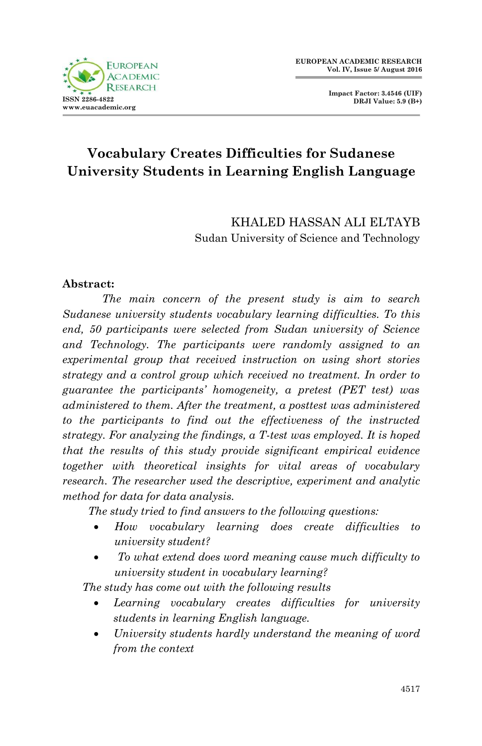

**Impact Factor: 3.4546 (UIF) DRJI Value: 5.9 (B+)**

# **Vocabulary Creates Difficulties for Sudanese University Students in Learning English Language**

KHALED HASSAN ALI ELTAYB Sudan University of Science and Technology

#### **Abstract:**

*The main concern of the present study is aim to search Sudanese university students vocabulary learning difficulties. To this end, 50 participants were selected from Sudan university of Science and Technology. The participants were randomly assigned to an experimental group that received instruction on using short stories strategy and a control group which received no treatment. In order to guarantee the participants' homogeneity, a pretest (PET test) was administered to them. After the treatment, a posttest was administered to the participants to find out the effectiveness of the instructed strategy. For analyzing the findings, a T-test was employed. It is hoped that the results of this study provide significant empirical evidence together with theoretical insights for vital areas of vocabulary research. The researcher used the descriptive, experiment and analytic method for data for data analysis.*

*The study tried to find answers to the following questions:*

- *How vocabulary learning does create difficulties to university student?*
- *To what extend does word meaning cause much difficulty to university student in vocabulary learning?*

*The study has come out with the following results*

- *Learning vocabulary creates difficulties for university students in learning English language.*
- *University students hardly understand the meaning of word from the context*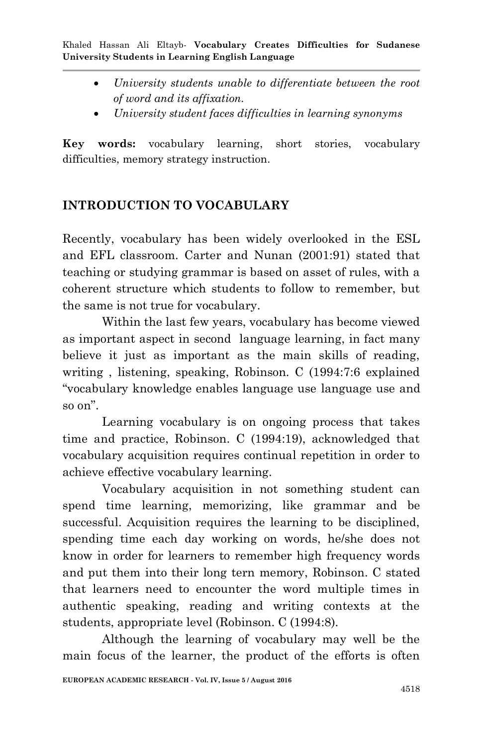Khaled Hassan Ali Eltayb*-* **Vocabulary Creates Difficulties for Sudanese University Students in Learning English Language**

- *University students unable to differentiate between the root of word and its affixation.*
- *University student faces difficulties in learning synonyms*

**Key words:** vocabulary learning, short stories, vocabulary difficulties, memory strategy instruction.

## **INTRODUCTION TO VOCABULARY**

Recently, vocabulary has been widely overlooked in the ESL and EFL classroom. Carter and Nunan (2001:91) stated that teaching or studying grammar is based on asset of rules, with a coherent structure which students to follow to remember, but the same is not true for vocabulary.

Within the last few years, vocabulary has become viewed as important aspect in second language learning, in fact many believe it just as important as the main skills of reading, writing , listening, speaking, Robinson. C (1994:7:6 explained "vocabulary knowledge enables language use language use and so on".

Learning vocabulary is on ongoing process that takes time and practice, Robinson. C (1994:19), acknowledged that vocabulary acquisition requires continual repetition in order to achieve effective vocabulary learning.

Vocabulary acquisition in not something student can spend time learning, memorizing, like grammar and be successful. Acquisition requires the learning to be disciplined, spending time each day working on words, he/she does not know in order for learners to remember high frequency words and put them into their long tern memory, Robinson. C stated that learners need to encounter the word multiple times in authentic speaking, reading and writing contexts at the students, appropriate level (Robinson. C (1994:8).

Although the learning of vocabulary may well be the main focus of the learner, the product of the efforts is often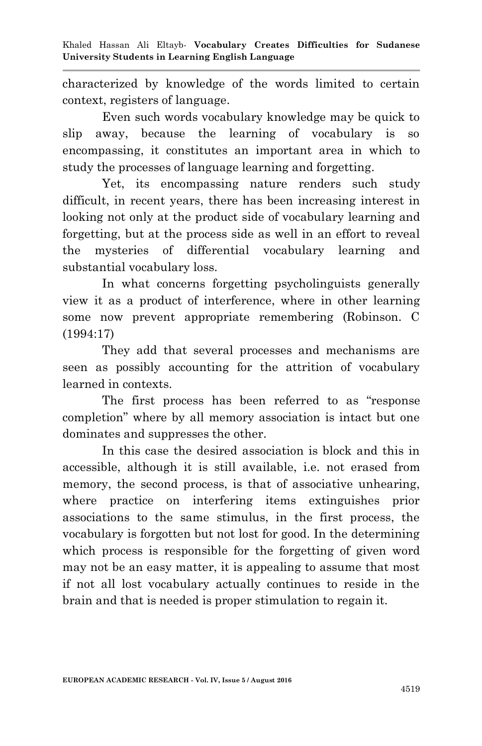characterized by knowledge of the words limited to certain context, registers of language.

Even such words vocabulary knowledge may be quick to slip away, because the learning of vocabulary is so encompassing, it constitutes an important area in which to study the processes of language learning and forgetting.

Yet, its encompassing nature renders such study difficult, in recent years, there has been increasing interest in looking not only at the product side of vocabulary learning and forgetting, but at the process side as well in an effort to reveal the mysteries of differential vocabulary learning and substantial vocabulary loss.

In what concerns forgetting psycholinguists generally view it as a product of interference, where in other learning some now prevent appropriate remembering (Robinson. C (1994:17)

They add that several processes and mechanisms are seen as possibly accounting for the attrition of vocabulary learned in contexts.

The first process has been referred to as "response completion" where by all memory association is intact but one dominates and suppresses the other.

In this case the desired association is block and this in accessible, although it is still available, i.e. not erased from memory, the second process, is that of associative unhearing, where practice on interfering items extinguishes prior associations to the same stimulus, in the first process, the vocabulary is forgotten but not lost for good. In the determining which process is responsible for the forgetting of given word may not be an easy matter, it is appealing to assume that most if not all lost vocabulary actually continues to reside in the brain and that is needed is proper stimulation to regain it.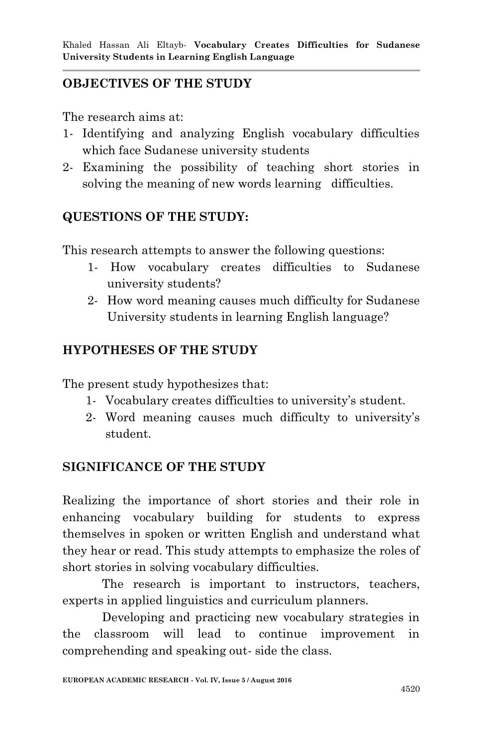## **OBJECTIVES OF THE STUDY**

The research aims at:

- 1- Identifying and analyzing English vocabulary difficulties which face Sudanese university students
- 2- Examining the possibility of teaching short stories in solving the meaning of new words learning difficulties.

## **QUESTIONS OF THE STUDY:**

This research attempts to answer the following questions:

- 1- How vocabulary creates difficulties to Sudanese university students?
- 2- How word meaning causes much difficulty for Sudanese University students in learning English language?

## **HYPOTHESES OF THE STUDY**

The present study hypothesizes that:

- 1- Vocabulary creates difficulties to university"s student.
- 2- Word meaning causes much difficulty to university"s student.

## **SIGNIFICANCE OF THE STUDY**

Realizing the importance of short stories and their role in enhancing vocabulary building for students to express themselves in spoken or written English and understand what they hear or read. This study attempts to emphasize the roles of short stories in solving vocabulary difficulties.

The research is important to instructors, teachers, experts in applied linguistics and curriculum planners.

Developing and practicing new vocabulary strategies in the classroom will lead to continue improvement in comprehending and speaking out- side the class.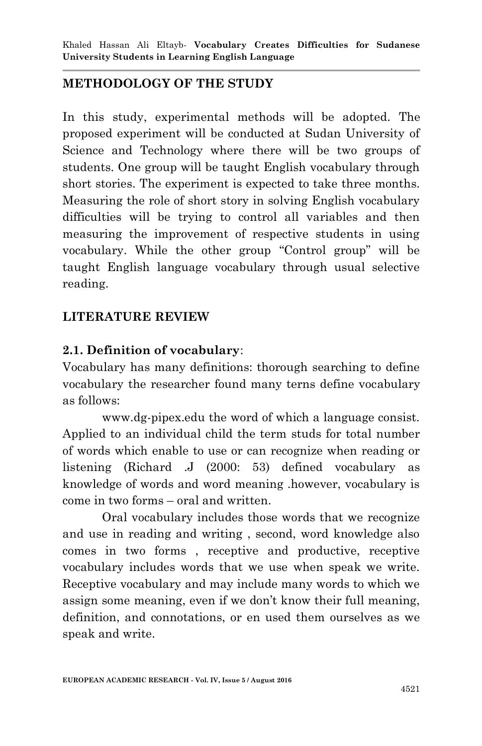## **METHODOLOGY OF THE STUDY**

In this study, experimental methods will be adopted. The proposed experiment will be conducted at Sudan University of Science and Technology where there will be two groups of students. One group will be taught English vocabulary through short stories. The experiment is expected to take three months. Measuring the role of short story in solving English vocabulary difficulties will be trying to control all variables and then measuring the improvement of respective students in using vocabulary. While the other group "Control group" will be taught English language vocabulary through usual selective reading.

### **LITERATURE REVIEW**

### **2.1. Definition of vocabulary**:

Vocabulary has many definitions: thorough searching to define vocabulary the researcher found many terns define vocabulary as follows:

www.dg-pipex.edu the word of which a language consist. Applied to an individual child the term studs for total number of words which enable to use or can recognize when reading or listening (Richard .J (2000: 53) defined vocabulary as knowledge of words and word meaning .however, vocabulary is come in two forms – oral and written.

Oral vocabulary includes those words that we recognize and use in reading and writing , second, word knowledge also comes in two forms , receptive and productive, receptive vocabulary includes words that we use when speak we write. Receptive vocabulary and may include many words to which we assign some meaning, even if we don"t know their full meaning, definition, and connotations, or en used them ourselves as we speak and write.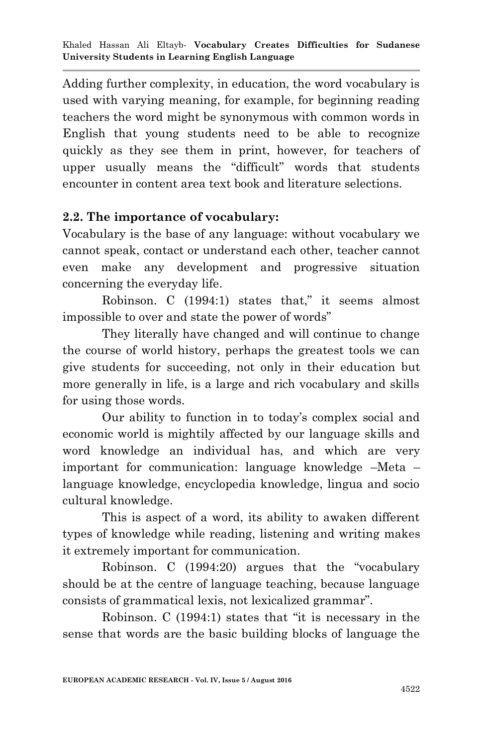Adding further complexity, in education, the word vocabulary is used with varying meaning, for example, for beginning reading teachers the word might be synonymous with common words in English that young students need to be able to recognize quickly as they see them in print, however, for teachers of upper usually means the "difficult" words that students encounter in content area text book and literature selections.

## **2.2. The importance of vocabulary:**

Vocabulary is the base of any language: without vocabulary we cannot speak, contact or understand each other, teacher cannot even make any development and progressive situation concerning the everyday life.

Robinson. C (1994:1) states that," it seems almost impossible to over and state the power of words"

They literally have changed and will continue to change the course of world history, perhaps the greatest tools we can give students for succeeding, not only in their education but more generally in life, is a large and rich vocabulary and skills for using those words.

Our ability to function in to today"s complex social and economic world is mightily affected by our language skills and word knowledge an individual has, and which are very important for communication: language knowledge –Meta – language knowledge, encyclopedia knowledge, lingua and socio cultural knowledge.

This is aspect of a word, its ability to awaken different types of knowledge while reading, listening and writing makes it extremely important for communication.

Robinson. C (1994:20) argues that the "vocabulary should be at the centre of language teaching, because language consists of grammatical lexis, not lexicalized grammar".

Robinson. C (1994:1) states that "it is necessary in the sense that words are the basic building blocks of language the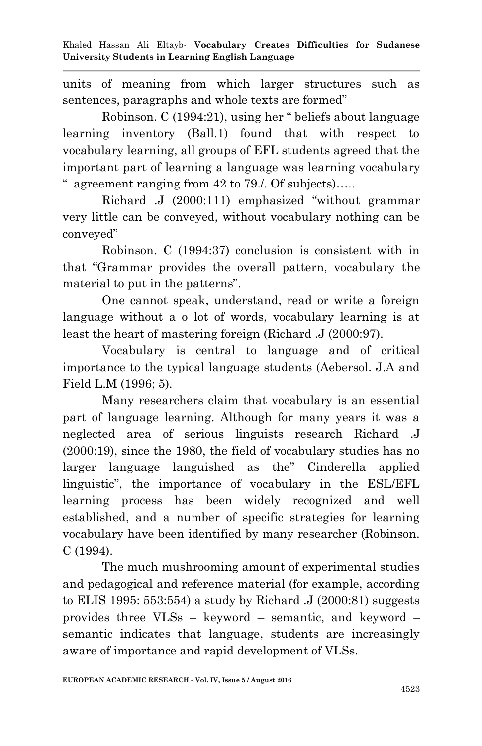units of meaning from which larger structures such as sentences, paragraphs and whole texts are formed"

Robinson. C (1994:21), using her " beliefs about language learning inventory (Ball.1) found that with respect to vocabulary learning, all groups of EFL students agreed that the important part of learning a language was learning vocabulary " agreement ranging from 42 to 79./. Of subjects)…..

Richard .J (2000:111) emphasized "without grammar very little can be conveyed, without vocabulary nothing can be conveyed"

Robinson. C (1994:37) conclusion is consistent with in that "Grammar provides the overall pattern, vocabulary the material to put in the patterns".

One cannot speak, understand, read or write a foreign language without a o lot of words, vocabulary learning is at least the heart of mastering foreign (Richard .J (2000:97).

Vocabulary is central to language and of critical importance to the typical language students (Aebersol. J.A and Field L.M (1996; 5).

Many researchers claim that vocabulary is an essential part of language learning. Although for many years it was a neglected area of serious linguists research Richard .J (2000:19), since the 1980, the field of vocabulary studies has no larger language languished as the" Cinderella applied linguistic", the importance of vocabulary in the ESL/EFL learning process has been widely recognized and well established, and a number of specific strategies for learning vocabulary have been identified by many researcher (Robinson. C (1994).

The much mushrooming amount of experimental studies and pedagogical and reference material (for example, according to ELIS 1995: 553:554) a study by Richard .J (2000:81) suggests provides three VLSs – keyword – semantic, and keyword – semantic indicates that language, students are increasingly aware of importance and rapid development of VLSs.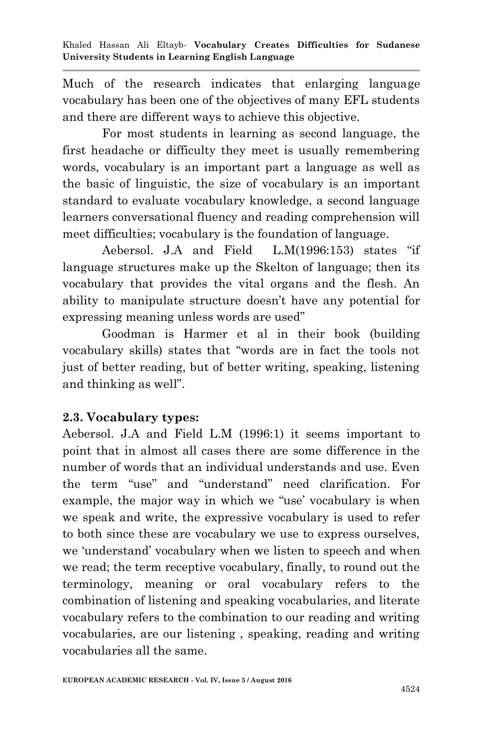Much of the research indicates that enlarging language vocabulary has been one of the objectives of many EFL students and there are different ways to achieve this objective.

For most students in learning as second language, the first headache or difficulty they meet is usually remembering words, vocabulary is an important part a language as well as the basic of linguistic, the size of vocabulary is an important standard to evaluate vocabulary knowledge, a second language learners conversational fluency and reading comprehension will meet difficulties; vocabulary is the foundation of language.

Aebersol. J.A and Field L.M(1996:153) states "if language structures make up the Skelton of language; then its vocabulary that provides the vital organs and the flesh. An ability to manipulate structure doesn"t have any potential for expressing meaning unless words are used"

Goodman is Harmer et al in their book (building vocabulary skills) states that "words are in fact the tools not just of better reading, but of better writing, speaking, listening and thinking as well".

## **2.3. Vocabulary types:**

Aebersol. J.A and Field L.M (1996:1) it seems important to point that in almost all cases there are some difference in the number of words that an individual understands and use. Even the term "use" and "understand" need clarification. For example, the major way in which we "use' vocabulary is when we speak and write, the expressive vocabulary is used to refer to both since these are vocabulary we use to express ourselves, we "understand" vocabulary when we listen to speech and when we read; the term receptive vocabulary, finally, to round out the terminology, meaning or oral vocabulary refers to the combination of listening and speaking vocabularies, and literate vocabulary refers to the combination to our reading and writing vocabularies, are our listening , speaking, reading and writing vocabularies all the same.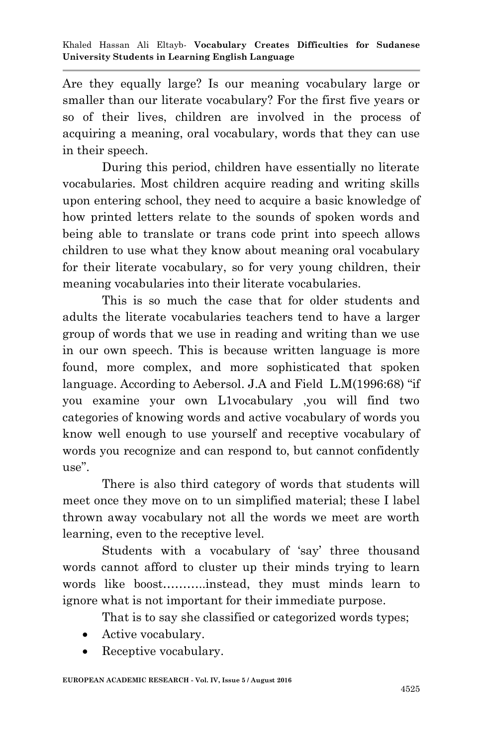Are they equally large? Is our meaning vocabulary large or smaller than our literate vocabulary? For the first five years or so of their lives, children are involved in the process of acquiring a meaning, oral vocabulary, words that they can use in their speech.

During this period, children have essentially no literate vocabularies. Most children acquire reading and writing skills upon entering school, they need to acquire a basic knowledge of how printed letters relate to the sounds of spoken words and being able to translate or trans code print into speech allows children to use what they know about meaning oral vocabulary for their literate vocabulary, so for very young children, their meaning vocabularies into their literate vocabularies.

This is so much the case that for older students and adults the literate vocabularies teachers tend to have a larger group of words that we use in reading and writing than we use in our own speech. This is because written language is more found, more complex, and more sophisticated that spoken language. According to Aebersol. J.A and Field L.M(1996:68) "if you examine your own L1vocabulary ,you will find two categories of knowing words and active vocabulary of words you know well enough to use yourself and receptive vocabulary of words you recognize and can respond to, but cannot confidently use".

There is also third category of words that students will meet once they move on to un simplified material; these I label thrown away vocabulary not all the words we meet are worth learning, even to the receptive level.

Students with a vocabulary of 'say' three thousand words cannot afford to cluster up their minds trying to learn words like boost………..instead, they must minds learn to ignore what is not important for their immediate purpose.

That is to say she classified or categorized words types;

- Active vocabulary.
- Receptive vocabulary.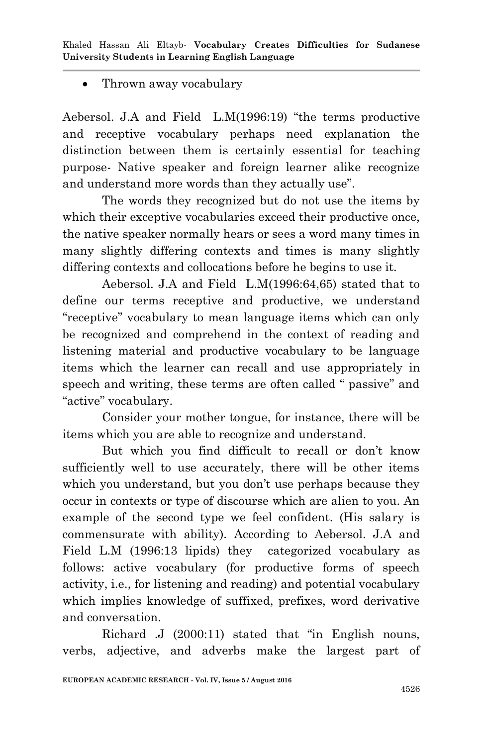• Thrown away vocabulary

Aebersol. J.A and Field L.M(1996:19) "the terms productive and receptive vocabulary perhaps need explanation the distinction between them is certainly essential for teaching purpose- Native speaker and foreign learner alike recognize and understand more words than they actually use".

The words they recognized but do not use the items by which their exceptive vocabularies exceed their productive once, the native speaker normally hears or sees a word many times in many slightly differing contexts and times is many slightly differing contexts and collocations before he begins to use it.

Aebersol. J.A and Field L.M(1996:64,65) stated that to define our terms receptive and productive, we understand "receptive" vocabulary to mean language items which can only be recognized and comprehend in the context of reading and listening material and productive vocabulary to be language items which the learner can recall and use appropriately in speech and writing, these terms are often called " passive" and "active" vocabulary.

Consider your mother tongue, for instance, there will be items which you are able to recognize and understand.

But which you find difficult to recall or don"t know sufficiently well to use accurately, there will be other items which you understand, but you don't use perhaps because they occur in contexts or type of discourse which are alien to you. An example of the second type we feel confident. (His salary is commensurate with ability). According to Aebersol. J.A and Field L.M (1996:13 lipids) they categorized vocabulary as follows: active vocabulary (for productive forms of speech activity, i.e., for listening and reading) and potential vocabulary which implies knowledge of suffixed, prefixes, word derivative and conversation.

Richard .J (2000:11) stated that "in English nouns, verbs, adjective, and adverbs make the largest part of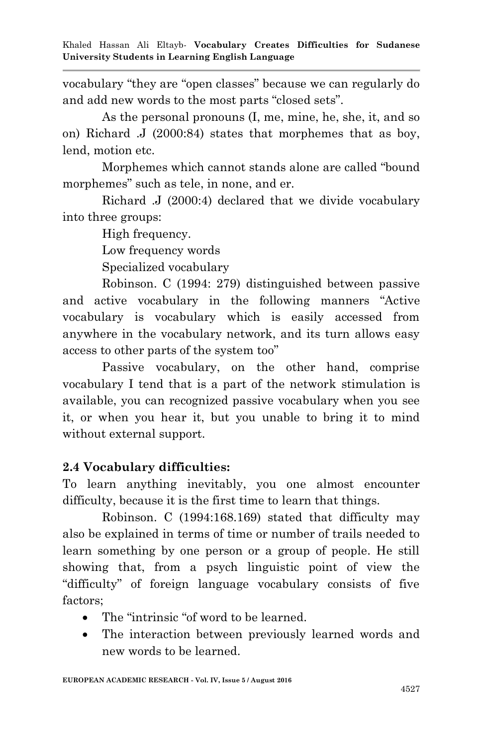vocabulary "they are "open classes" because we can regularly do and add new words to the most parts "closed sets".

As the personal pronouns (I, me, mine, he, she, it, and so on) Richard .J (2000:84) states that morphemes that as boy, lend, motion etc.

Morphemes which cannot stands alone are called "bound morphemes" such as tele, in none, and er.

Richard .J (2000:4) declared that we divide vocabulary into three groups:

High frequency.

Low frequency words

Specialized vocabulary

Robinson. C (1994: 279) distinguished between passive and active vocabulary in the following manners "Active vocabulary is vocabulary which is easily accessed from anywhere in the vocabulary network, and its turn allows easy access to other parts of the system too"

Passive vocabulary, on the other hand, comprise vocabulary I tend that is a part of the network stimulation is available, you can recognized passive vocabulary when you see it, or when you hear it, but you unable to bring it to mind without external support.

## **2.4 Vocabulary difficulties:**

To learn anything inevitably, you one almost encounter difficulty, because it is the first time to learn that things.

Robinson. C (1994:168.169) stated that difficulty may also be explained in terms of time or number of trails needed to learn something by one person or a group of people. He still showing that, from a psych linguistic point of view the "difficulty" of foreign language vocabulary consists of five factors;

- The "intrinsic "of word to be learned.
- The interaction between previously learned words and new words to be learned.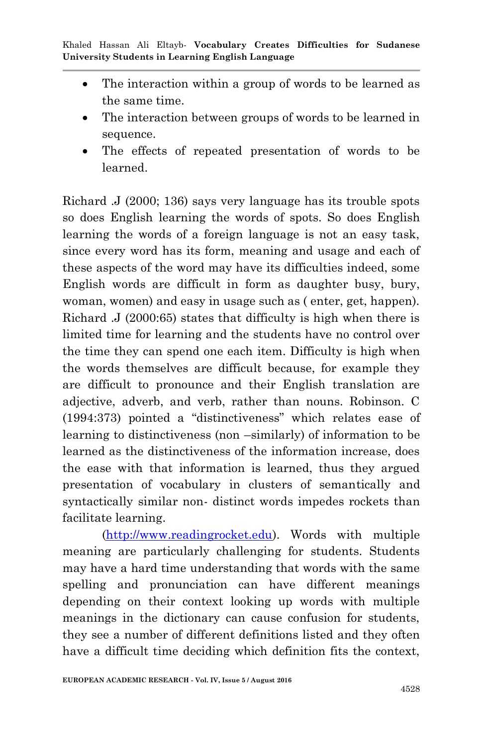- The interaction within a group of words to be learned as the same time.
- The interaction between groups of words to be learned in sequence.
- The effects of repeated presentation of words to be learned.

Richard .J (2000; 136) says very language has its trouble spots so does English learning the words of spots. So does English learning the words of a foreign language is not an easy task, since every word has its form, meaning and usage and each of these aspects of the word may have its difficulties indeed, some English words are difficult in form as daughter busy, bury, woman, women) and easy in usage such as ( enter, get, happen). Richard .J (2000:65) states that difficulty is high when there is limited time for learning and the students have no control over the time they can spend one each item. Difficulty is high when the words themselves are difficult because, for example they are difficult to pronounce and their English translation are adjective, adverb, and verb, rather than nouns. Robinson. C (1994:373) pointed a "distinctiveness" which relates ease of learning to distinctiveness (non –similarly) of information to be learned as the distinctiveness of the information increase, does the ease with that information is learned, thus they argued presentation of vocabulary in clusters of semantically and syntactically similar non- distinct words impedes rockets than facilitate learning.

[\(http://www.readingrocket.edu\)](http://www.readingrocket.edu/). Words with multiple meaning are particularly challenging for students. Students may have a hard time understanding that words with the same spelling and pronunciation can have different meanings depending on their context looking up words with multiple meanings in the dictionary can cause confusion for students, they see a number of different definitions listed and they often have a difficult time deciding which definition fits the context,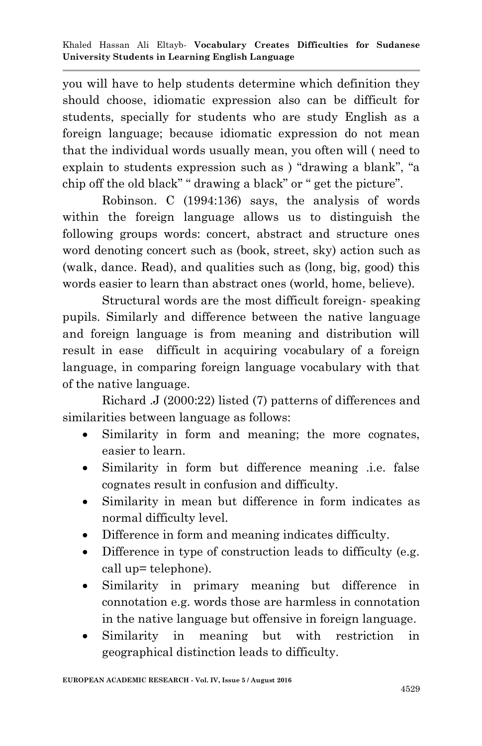you will have to help students determine which definition they should choose, idiomatic expression also can be difficult for students, specially for students who are study English as a foreign language; because idiomatic expression do not mean that the individual words usually mean, you often will ( need to explain to students expression such as ) "drawing a blank", "a chip off the old black" " drawing a black" or " get the picture".

Robinson. C (1994:136) says, the analysis of words within the foreign language allows us to distinguish the following groups words: concert, abstract and structure ones word denoting concert such as (book, street, sky) action such as (walk, dance. Read), and qualities such as (long, big, good) this words easier to learn than abstract ones (world, home, believe).

Structural words are the most difficult foreign- speaking pupils. Similarly and difference between the native language and foreign language is from meaning and distribution will result in ease difficult in acquiring vocabulary of a foreign language, in comparing foreign language vocabulary with that of the native language.

Richard .J (2000:22) listed (7) patterns of differences and similarities between language as follows:

- Similarity in form and meaning; the more cognates, easier to learn.
- Similarity in form but difference meaning .i.e. false cognates result in confusion and difficulty.
- Similarity in mean but difference in form indicates as normal difficulty level.
- Difference in form and meaning indicates difficulty.
- Difference in type of construction leads to difficulty (e.g. call up= telephone).
- Similarity in primary meaning but difference in connotation e.g. words those are harmless in connotation in the native language but offensive in foreign language.
- Similarity in meaning but with restriction in geographical distinction leads to difficulty.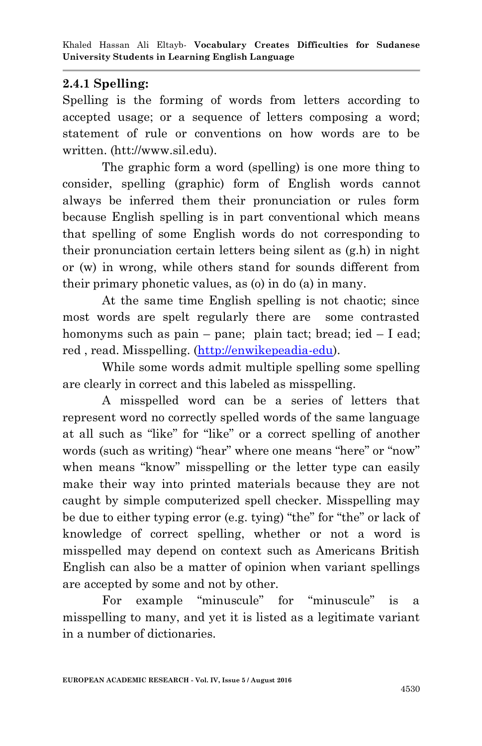## **2.4.1 Spelling:**

Spelling is the forming of words from letters according to accepted usage; or a sequence of letters composing a word; statement of rule or conventions on how words are to be written. (htt://www.sil.edu).

The graphic form a word (spelling) is one more thing to consider, spelling (graphic) form of English words cannot always be inferred them their pronunciation or rules form because English spelling is in part conventional which means that spelling of some English words do not corresponding to their pronunciation certain letters being silent as (g.h) in night or (w) in wrong, while others stand for sounds different from their primary phonetic values, as (o) in do (a) in many.

At the same time English spelling is not chaotic; since most words are spelt regularly there are some contrasted homonyms such as pain – pane; plain tact; bread; ied – I ead; red , read. Misspelling. [\(http://enwikepeadia-edu\)](http://enwikepeadia-edu/).

While some words admit multiple spelling some spelling are clearly in correct and this labeled as misspelling.

A misspelled word can be a series of letters that represent word no correctly spelled words of the same language at all such as "like" for "like" or a correct spelling of another words (such as writing) "hear" where one means "here" or "now" when means "know" misspelling or the letter type can easily make their way into printed materials because they are not caught by simple computerized spell checker. Misspelling may be due to either typing error (e.g. tying) "the" for "the" or lack of knowledge of correct spelling, whether or not a word is misspelled may depend on context such as Americans British English can also be a matter of opinion when variant spellings are accepted by some and not by other.

For example "minuscule" for "minuscule" is a misspelling to many, and yet it is listed as a legitimate variant in a number of dictionaries.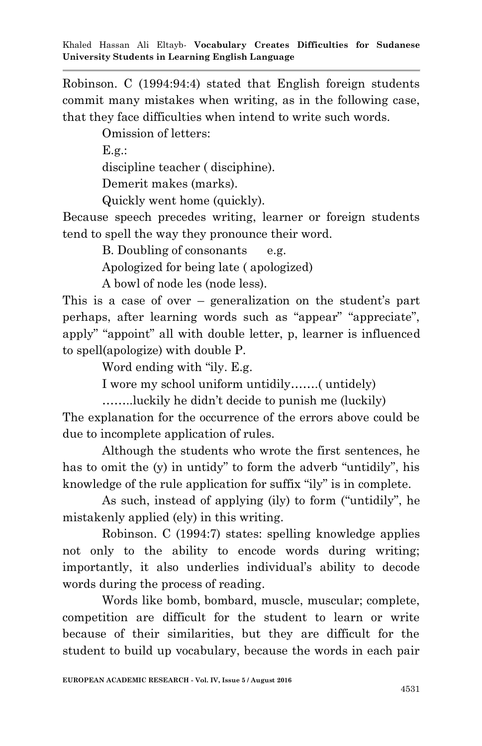Robinson. C (1994:94:4) stated that English foreign students commit many mistakes when writing, as in the following case, that they face difficulties when intend to write such words.

Omission of letters:

E.g.:

discipline teacher ( disciphine).

Demerit makes (marks).

Quickly went home (quickly).

Because speech precedes writing, learner or foreign students tend to spell the way they pronounce their word.

B. Doubling of consonants e.g.

Apologized for being late ( apologized)

A bowl of node les (node less).

This is a case of over  $-$  generalization on the student's part perhaps, after learning words such as "appear" "appreciate", apply" "appoint" all with double letter, p, learner is influenced to spell(apologize) with double P.

Word ending with "ily. E.g.

I wore my school uniform untidily…….( untidely)

……..luckily he didn"t decide to punish me (luckily)

The explanation for the occurrence of the errors above could be due to incomplete application of rules.

Although the students who wrote the first sentences, he has to omit the (y) in untidy" to form the adverb "untidily", his knowledge of the rule application for suffix "ily" is in complete.

As such, instead of applying (ily) to form ("untidily", he mistakenly applied (ely) in this writing.

Robinson. C (1994:7) states: spelling knowledge applies not only to the ability to encode words during writing; importantly, it also underlies individual's ability to decode words during the process of reading.

Words like bomb, bombard, muscle, muscular; complete, competition are difficult for the student to learn or write because of their similarities, but they are difficult for the student to build up vocabulary, because the words in each pair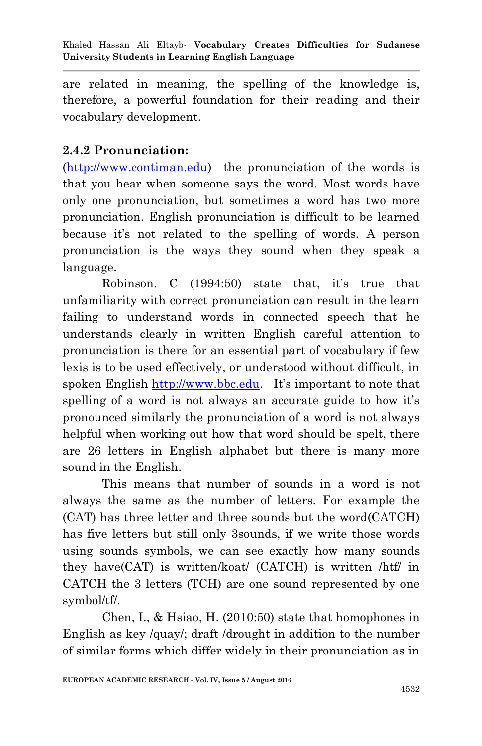are related in meaning, the spelling of the knowledge is, therefore, a powerful foundation for their reading and their vocabulary development.

## **2.4.2 Pronunciation:**

[\(http://www.contiman.edu\)](http://www.contiman.edu/) the pronunciation of the words is that you hear when someone says the word. Most words have only one pronunciation, but sometimes a word has two more pronunciation. English pronunciation is difficult to be learned because it's not related to the spelling of words. A person pronunciation is the ways they sound when they speak a language.

Robinson. C (1994:50) state that, it's true that unfamiliarity with correct pronunciation can result in the learn failing to understand words in connected speech that he understands clearly in written English careful attention to pronunciation is there for an essential part of vocabulary if few lexis is to be used effectively, or understood without difficult, in spoken English [http://www.bbc.edu](http://www.bbc.edu/). It's important to note that spelling of a word is not always an accurate guide to how it's pronounced similarly the pronunciation of a word is not always helpful when working out how that word should be spelt, there are 26 letters in English alphabet but there is many more sound in the English.

This means that number of sounds in a word is not always the same as the number of letters. For example the (CAT) has three letter and three sounds but the word(CATCH) has five letters but still only 3sounds, if we write those words using sounds symbols, we can see exactly how many sounds they have(CAT) is written/koat/ (CATCH) is written /htf/ in CATCH the 3 letters (TCH) are one sound represented by one symbol/tf/.

Chen, I., & Hsiao, H. (2010:50) state that homophones in English as key /quay/; draft /drought in addition to the number of similar forms which differ widely in their pronunciation as in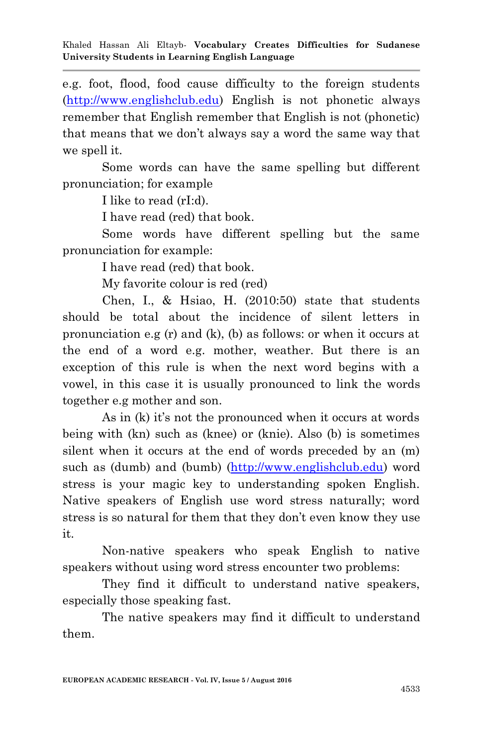e.g. foot, flood, food cause difficulty to the foreign students [\(http://www.englishclub.edu\)](http://www.englishclub.edu/) English is not phonetic always remember that English remember that English is not (phonetic) that means that we don"t always say a word the same way that we spell it.

Some words can have the same spelling but different pronunciation; for example

I like to read (rI:d).

I have read (red) that book.

Some words have different spelling but the same pronunciation for example:

I have read (red) that book.

My favorite colour is red (red)

Chen, I., & Hsiao, H. (2010:50) state that students should be total about the incidence of silent letters in pronunciation e.g  $(r)$  and  $(k)$ ,  $(b)$  as follows: or when it occurs at the end of a word e.g. mother, weather. But there is an exception of this rule is when the next word begins with a vowel, in this case it is usually pronounced to link the words together e.g mother and son.

As in (k) it's not the pronounced when it occurs at words being with (kn) such as (knee) or (knie). Also (b) is sometimes silent when it occurs at the end of words preceded by an (m) such as (dumb) and (bumb) [\(http://www.englishclub.edu\)](http://www.englishclub.edu/) word stress is your magic key to understanding spoken English. Native speakers of English use word stress naturally; word stress is so natural for them that they don"t even know they use it.

Non-native speakers who speak English to native speakers without using word stress encounter two problems:

They find it difficult to understand native speakers, especially those speaking fast.

The native speakers may find it difficult to understand them.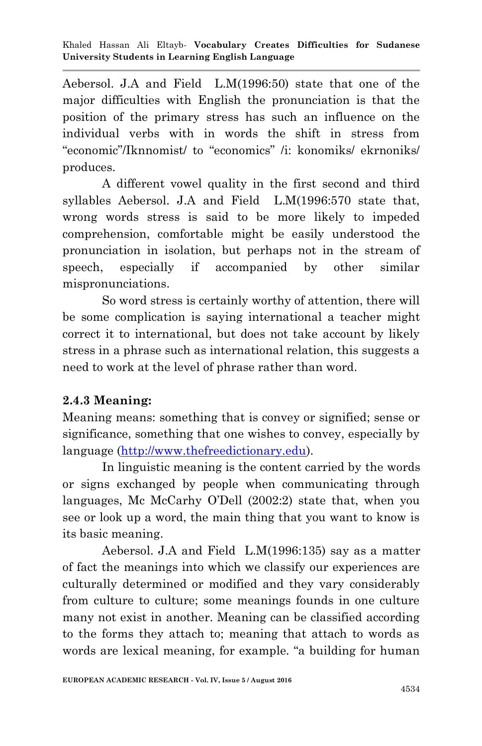Khaled Hassan Ali Eltayb*-* **Vocabulary Creates Difficulties for Sudanese University Students in Learning English Language**

Aebersol. J.A and Field L.M(1996:50) state that one of the major difficulties with English the pronunciation is that the position of the primary stress has such an influence on the individual verbs with in words the shift in stress from "economic"/Iknnomist/ to "economics" /i: konomiks/ ekrnoniks/ produces.

A different vowel quality in the first second and third syllables Aebersol. J.A and Field L.M(1996:570 state that, wrong words stress is said to be more likely to impeded comprehension, comfortable might be easily understood the pronunciation in isolation, but perhaps not in the stream of speech, especially if accompanied by other similar mispronunciations.

So word stress is certainly worthy of attention, there will be some complication is saying international a teacher might correct it to international, but does not take account by likely stress in a phrase such as international relation, this suggests a need to work at the level of phrase rather than word.

## **2.4.3 Meaning:**

Meaning means: something that is convey or signified; sense or significance, something that one wishes to convey, especially by language [\(http://www.thefreedictionary.edu\)](http://www.thefreedictionary.edu/).

In linguistic meaning is the content carried by the words or signs exchanged by people when communicating through languages, Mc McCarhy O"Dell (2002:2) state that, when you see or look up a word, the main thing that you want to know is its basic meaning.

Aebersol. J.A and Field L.M(1996:135) say as a matter of fact the meanings into which we classify our experiences are culturally determined or modified and they vary considerably from culture to culture; some meanings founds in one culture many not exist in another. Meaning can be classified according to the forms they attach to; meaning that attach to words as words are lexical meaning, for example. "a building for human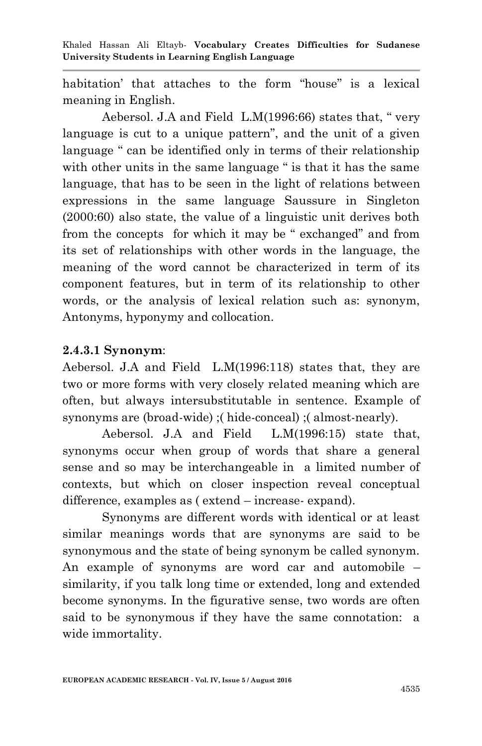Khaled Hassan Ali Eltayb*-* **Vocabulary Creates Difficulties for Sudanese University Students in Learning English Language**

habitation" that attaches to the form "house" is a lexical meaning in English.

Aebersol. J.A and Field L.M(1996:66) states that, " very language is cut to a unique pattern", and the unit of a given language " can be identified only in terms of their relationship with other units in the same language " is that it has the same language, that has to be seen in the light of relations between expressions in the same language Saussure in Singleton (2000:60) also state, the value of a linguistic unit derives both from the concepts for which it may be " exchanged" and from its set of relationships with other words in the language, the meaning of the word cannot be characterized in term of its component features, but in term of its relationship to other words, or the analysis of lexical relation such as: synonym, Antonyms, hyponymy and collocation.

#### **2.4.3.1 Synonym**:

Aebersol. J.A and Field L.M(1996:118) states that, they are two or more forms with very closely related meaning which are often, but always intersubstitutable in sentence. Example of synonyms are (broad-wide) ;( hide-conceal) ;( almost-nearly).

Aebersol. J.A and Field L.M(1996:15) state that, synonyms occur when group of words that share a general sense and so may be interchangeable in a limited number of contexts, but which on closer inspection reveal conceptual difference, examples as ( extend – increase- expand).

Synonyms are different words with identical or at least similar meanings words that are synonyms are said to be synonymous and the state of being synonym be called synonym. An example of synonyms are word car and automobile – similarity, if you talk long time or extended, long and extended become synonyms. In the figurative sense, two words are often said to be synonymous if they have the same connotation: a wide immortality.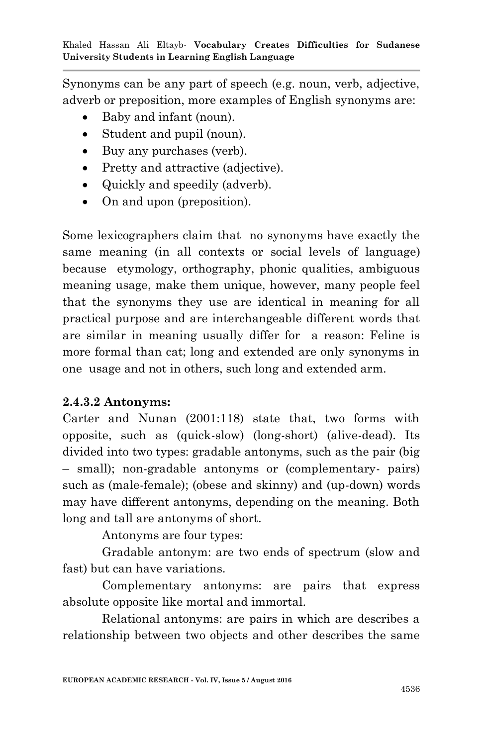Synonyms can be any part of speech (e.g. noun, verb, adjective, adverb or preposition, more examples of English synonyms are:

- Baby and infant (noun).
- Student and pupil (noun).
- Buy any purchases (verb).
- Pretty and attractive (adjective).
- Quickly and speedily (adverb).
- On and upon (preposition).

Some lexicographers claim that no synonyms have exactly the same meaning (in all contexts or social levels of language) because etymology, orthography, phonic qualities, ambiguous meaning usage, make them unique, however, many people feel that the synonyms they use are identical in meaning for all practical purpose and are interchangeable different words that are similar in meaning usually differ for a reason: Feline is more formal than cat; long and extended are only synonyms in one usage and not in others, such long and extended arm.

## **2.4.3.2 Antonyms:**

Carter and Nunan (2001:118) state that, two forms with opposite, such as (quick-slow) (long-short) (alive-dead). Its divided into two types: gradable antonyms, such as the pair (big – small); non-gradable antonyms or (complementary- pairs) such as (male-female); (obese and skinny) and (up-down) words may have different antonyms, depending on the meaning. Both long and tall are antonyms of short.

Antonyms are four types:

Gradable antonym: are two ends of spectrum (slow and fast) but can have variations.

Complementary antonyms: are pairs that express absolute opposite like mortal and immortal.

Relational antonyms: are pairs in which are describes a relationship between two objects and other describes the same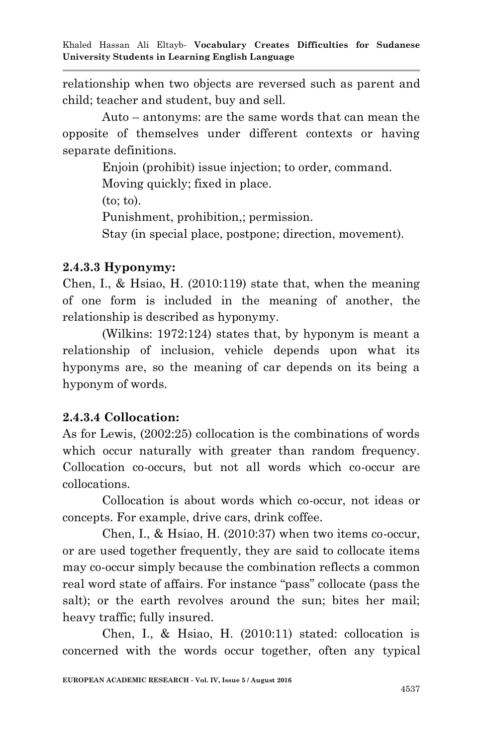relationship when two objects are reversed such as parent and child; teacher and student, buy and sell.

Auto – antonyms: are the same words that can mean the opposite of themselves under different contexts or having separate definitions.

> Enjoin (prohibit) issue injection; to order, command. Moving quickly; fixed in place.  $(to; to).$ Punishment, prohibition,; permission. Stay (in special place, postpone; direction, movement).

### **2.4.3.3 Hyponymy:**

Chen, I., & Hsiao, H. (2010:119) state that, when the meaning of one form is included in the meaning of another, the relationship is described as hyponymy.

(Wilkins: 1972:124) states that, by hyponym is meant a relationship of inclusion, vehicle depends upon what its hyponyms are, so the meaning of car depends on its being a hyponym of words.

## **2.4.3.4 Collocation:**

As for Lewis, (2002:25) collocation is the combinations of words which occur naturally with greater than random frequency. Collocation co-occurs, but not all words which co-occur are collocations.

Collocation is about words which co-occur, not ideas or concepts. For example, drive cars, drink coffee.

Chen, I., & Hsiao, H. (2010:37) when two items co-occur, or are used together frequently, they are said to collocate items may co-occur simply because the combination reflects a common real word state of affairs. For instance "pass" collocate (pass the salt); or the earth revolves around the sun; bites her mail; heavy traffic; fully insured.

Chen, I., & Hsiao, H. (2010:11) stated: collocation is concerned with the words occur together, often any typical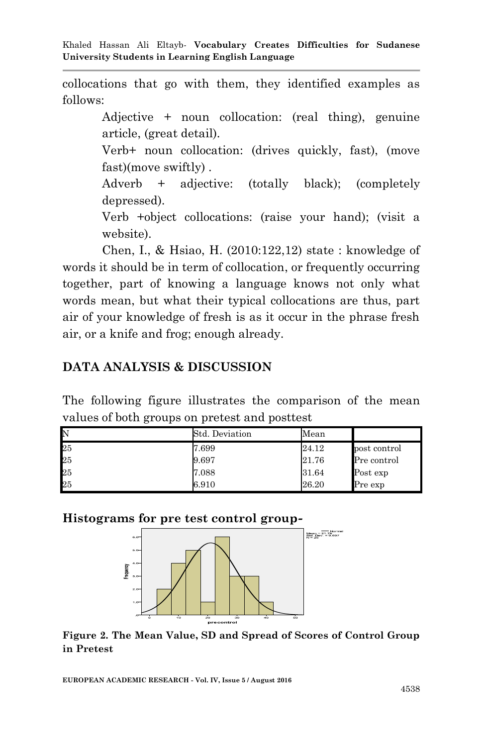collocations that go with them, they identified examples as follows:

> Adjective + noun collocation: (real thing), genuine article, (great detail).

> Verb+ noun collocation: (drives quickly, fast), (move fast)(move swiftly) .

> Adverb + adjective: (totally black); (completely depressed).

> Verb +object collocations: (raise your hand); (visit a website).

Chen, I., & Hsiao, H. (2010:122,12) state : knowledge of words it should be in term of collocation, or frequently occurring together, part of knowing a language knows not only what words mean, but what their typical collocations are thus, part air of your knowledge of fresh is as it occur in the phrase fresh air, or a knife and frog; enough already.

### **DATA ANALYSIS & DISCUSSION**

The following figure illustrates the comparison of the mean values of both groups on pretest and posttest

| N  | Std. Deviation | Mean  |              |
|----|----------------|-------|--------------|
| 25 | 7.699          | 24.12 | post control |
| 25 | 9.697          | 21.76 | Pre control  |
| 25 | 7.088          | 31.64 | Post exp     |
| 25 | 6.910          | 26.20 | Pre exp      |

#### **Histograms for pre test control group-**



**Figure 2. The Mean Value, SD and Spread of Scores of Control Group in Pretest**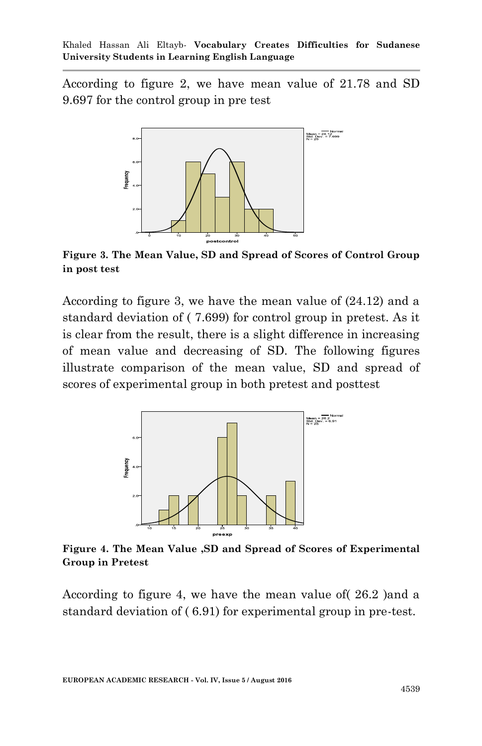According to figure 2, we have mean value of 21.78 and SD 9.697 for the control group in pre test



**Figure 3. The Mean Value, SD and Spread of Scores of Control Group in post test**

According to figure 3, we have the mean value of (24.12) and a standard deviation of ( 7.699) for control group in pretest. As it is clear from the result, there is a slight difference in increasing of mean value and decreasing of SD. The following figures illustrate comparison of the mean value, SD and spread of scores of experimental group in both pretest and posttest



**Figure 4. The Mean Value ,SD and Spread of Scores of Experimental Group in Pretest**

According to figure 4, we have the mean value of( 26.2 )and a standard deviation of ( 6.91) for experimental group in pre-test.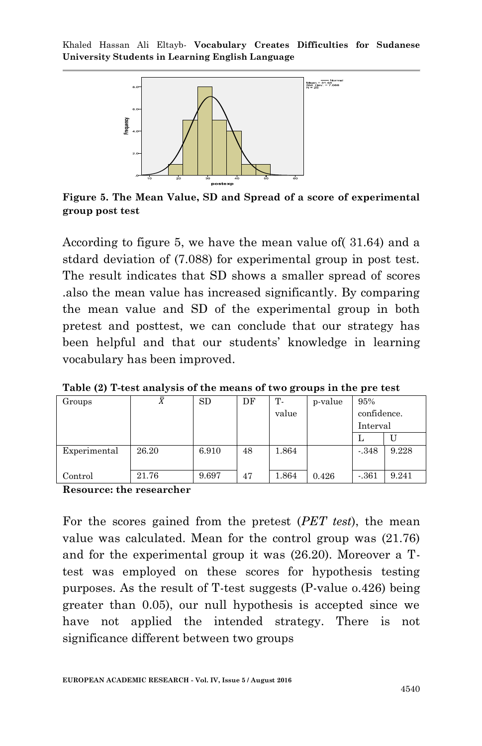Khaled Hassan Ali Eltayb*-* **Vocabulary Creates Difficulties for Sudanese University Students in Learning English Language**



**Figure 5. The Mean Value, SD and Spread of a score of experimental group post test**

According to figure 5, we have the mean value of( 31.64) and a stdard deviation of (7.088) for experimental group in post test. The result indicates that SD shows a smaller spread of scores .also the mean value has increased significantly. By comparing the mean value and SD of the experimental group in both pretest and posttest, we can conclude that our strategy has been helpful and that our students' knowledge in learning vocabulary has been improved.

| Groups        | Λ     | <b>SD</b> | DF | Т.    | p-value | 95%         |       |
|---------------|-------|-----------|----|-------|---------|-------------|-------|
|               |       |           |    | value |         | confidence. |       |
|               |       |           |    |       |         | Interval    |       |
|               |       |           |    |       |         | ы           |       |
| Experimental  | 26.20 | 6.910     | 48 | 1.864 |         | $-348$      | 9.228 |
|               |       |           |    |       |         |             |       |
| $\rm Control$ | 21.76 | 9.697     | 47 | 1.864 | 0.426   | $-361$      | 9.241 |

**Table (2) T-test analysis of the means of two groups in the pre test**

**Resource: the researcher**

For the scores gained from the pretest (*PET test*), the mean value was calculated. Mean for the control group was (21.76) and for the experimental group it was (26.20). Moreover a Ttest was employed on these scores for hypothesis testing purposes. As the result of T-test suggests (P-value o.426) being greater than 0.05), our null hypothesis is accepted since we have not applied the intended strategy. There is not significance different between two groups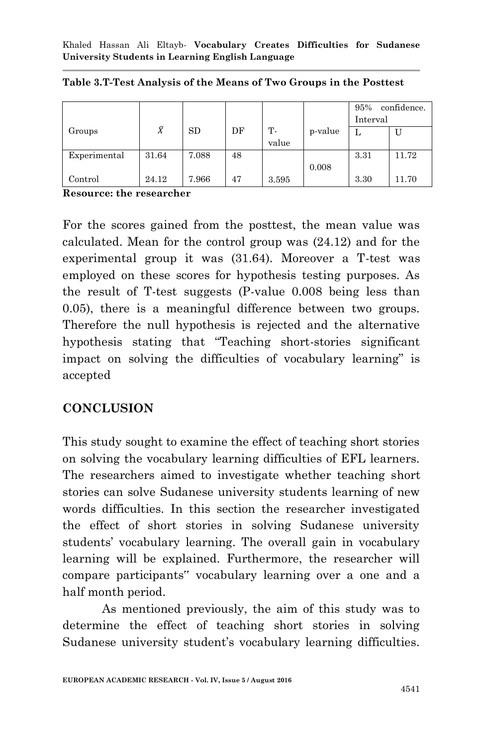|              |           |       |    |       |         | 95%<br>confidence.<br>Interval |       |
|--------------|-----------|-------|----|-------|---------|--------------------------------|-------|
| Groups       | $\bar{X}$ | SD    | DF | Т-    | p-value | L                              | U     |
|              |           |       |    | value |         |                                |       |
| Experimental | 31.64     | 7.088 | 48 |       |         | 3.31                           | 11.72 |
|              |           |       |    |       | 0.008   |                                |       |
| Control      | 24.12     | 7.966 | 47 | 3.595 |         | 3.30                           | 11.70 |

**Table 3.T-Test Analysis of the Means of Two Groups in the Posttest**

**Resource: the researcher**

For the scores gained from the posttest, the mean value was calculated. Mean for the control group was (24.12) and for the experimental group it was (31.64). Moreover a T-test was employed on these scores for hypothesis testing purposes. As the result of T-test suggests (P-value 0.008 being less than 0.05), there is a meaningful difference between two groups. Therefore the null hypothesis is rejected and the alternative hypothesis stating that "Teaching short-stories significant impact on solving the difficulties of vocabulary learning" is accepted

### **CONCLUSION**

This study sought to examine the effect of teaching short stories on solving the vocabulary learning difficulties of EFL learners. The researchers aimed to investigate whether teaching short stories can solve Sudanese university students learning of new words difficulties. In this section the researcher investigated the effect of short stories in solving Sudanese university students' vocabulary learning. The overall gain in vocabulary learning will be explained. Furthermore, the researcher will compare participants" vocabulary learning over a one and a half month period.

 As mentioned previously, the aim of this study was to determine the effect of teaching short stories in solving Sudanese university student's vocabulary learning difficulties.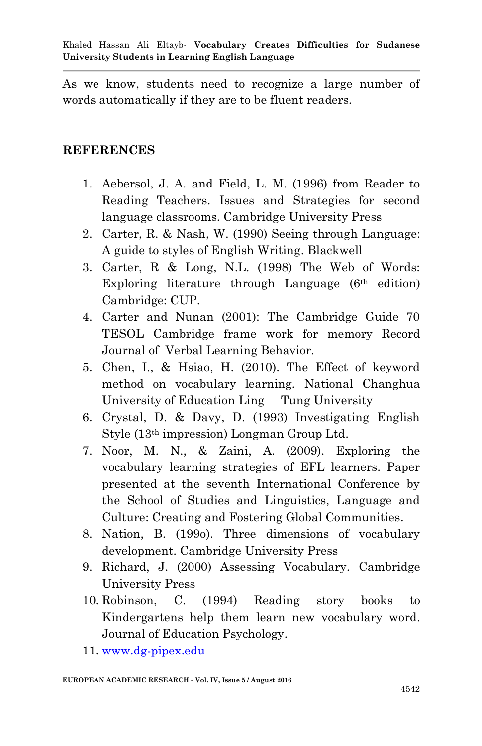As we know, students need to recognize a large number of words automatically if they are to be fluent readers.

### **REFERENCES**

- 1. Aebersol, J. A. and Field, L. M. (1996) from Reader to Reading Teachers. Issues and Strategies for second language classrooms. Cambridge University Press
- 2. Carter, R. & Nash, W. (1990) Seeing through Language: A guide to styles of English Writing. Blackwell
- 3. Carter, R & Long, N.L. (1998) The Web of Words: Exploring literature through Language  $(6<sup>th</sup>$  edition) Cambridge: CUP.
- 4. Carter and Nunan (2001): The Cambridge Guide 70 TESOL Cambridge frame work for memory Record Journal of Verbal Learning Behavior.
- 5. Chen, I., & Hsiao, H. (2010). The Effect of keyword method on vocabulary learning. National Changhua University of Education Ling Tung University
- 6. Crystal, D. & Davy, D. (1993) Investigating English Style (13th impression) Longman Group Ltd.
- 7. Noor, M. N., & Zaini, A. (2009). Exploring the vocabulary learning strategies of EFL learners. Paper presented at the seventh International Conference by the School of Studies and Linguistics, Language and Culture: Creating and Fostering Global Communities.
- 8. Nation, B. (199o). Three dimensions of vocabulary development. Cambridge University Press
- 9. Richard, J. (2000) Assessing Vocabulary. Cambridge University Press
- 10. Robinson, C. (1994) Reading story books to Kindergartens help them learn new vocabulary word. Journal of Education Psychology.
- 11. [www.dg-pipex.edu](http://www.dg-pipex.edu/)